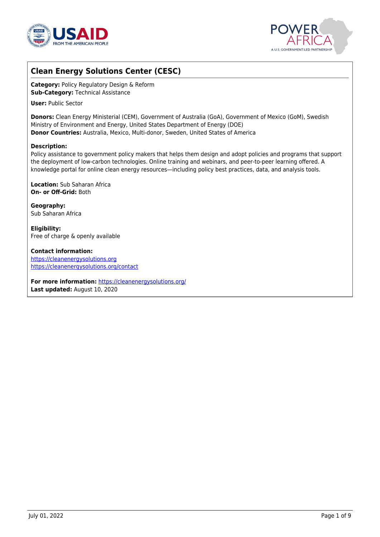



# **Clean Energy Solutions Center (CESC)**

**Category:** Policy Regulatory Design & Reform **Sub-Category:** Technical Assistance

**User:** Public Sector

**Donors:** Clean Energy Ministerial (CEM), Government of Australia (GoA), Government of Mexico (GoM), Swedish Ministry of Environment and Energy, United States Department of Energy (DOE) **Donor Countries:** Australia, Mexico, Multi-donor, Sweden, United States of America

### **Description:**

Policy assistance to government policy makers that helps them design and adopt policies and programs that support the deployment of low-carbon technologies. Online training and webinars, and peer-to-peer learning offered. A knowledge portal for online clean energy resources—including policy best practices, data, and analysis tools.

**Location:** Sub Saharan Africa **On- or Off-Grid:** Both

**Geography:** Sub Saharan Africa

**Eligibility:** Free of charge & openly available

**Contact information:** <https://cleanenergysolutions.org> <https://cleanenergysolutions.org/contact>

**For more information:** <https://cleanenergysolutions.org/> **Last updated:** August 10, 2020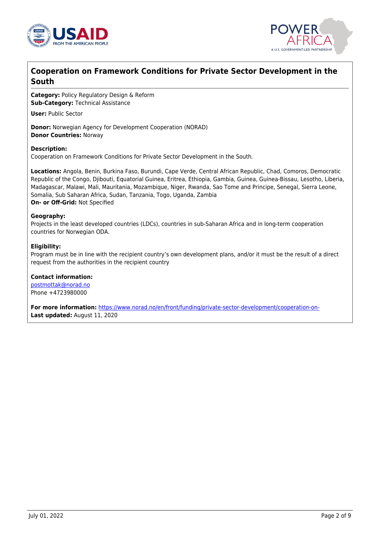



## **Cooperation on Framework Conditions for Private Sector Development in the South**

**Category:** Policy Regulatory Design & Reform **Sub-Category:** Technical Assistance

**User:** Public Sector

**Donor:** Norwegian Agency for Development Cooperation (NORAD) **Donor Countries:** Norway

#### **Description:**

Cooperation on Framework Conditions for Private Sector Development in the South.

**Locations:** Angola, Benin, Burkina Faso, Burundi, Cape Verde, Central African Republic, Chad, Comoros, Democratic Republic of the Congo, Djibouti, Equatorial Guinea, Eritrea, Ethiopia, Gambia, Guinea, Guinea-Bissau, Lesotho, Liberia, Madagascar, Malawi, Mali, Mauritania, Mozambique, Niger, Rwanda, Sao Tome and Principe, Senegal, Sierra Leone, Somalia, Sub Saharan Africa, Sudan, Tanzania, Togo, Uganda, Zambia **On- or Off-Grid:** Not Specified

#### **Geography:**

Projects in the least developed countries (LDCs), countries in sub-Saharan Africa and in long-term cooperation countries for Norwegian ODA.

#### **Eligibility:**

Program must be in line with the recipient country's own development plans, and/or it must be the result of a direct request from the authorities in the recipient country

#### **Contact information:**

[postmottak@norad.no](mailto:postmottak@norad.no) Phone +4723980000

**For more information:** [https://www.norad.no/en/front/funding/private-sector-development/cooperation-on-](https://www.norad.no/en/front/funding/private-sector-development/cooperation-on-framework-conditions/)**Last updated:** August 11, 2020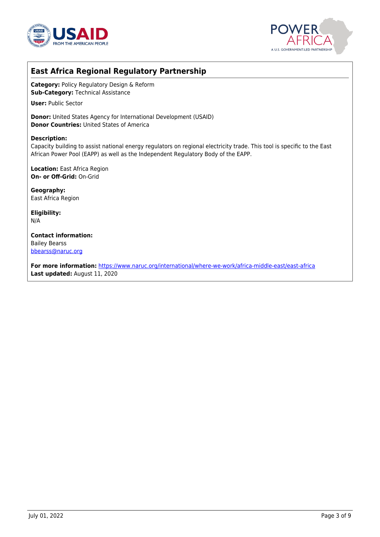



## **East Africa Regional Regulatory Partnership**

**Category:** Policy Regulatory Design & Reform **Sub-Category:** Technical Assistance

**User:** Public Sector

**Donor:** United States Agency for International Development (USAID) **Donor Countries:** United States of America

#### **Description:**

Capacity building to assist national energy regulators on regional electricity trade. This tool is specific to the East African Power Pool (EAPP) as well as the Independent Regulatory Body of the EAPP.

**Location:** East Africa Region **On- or Off-Grid:** On-Grid

**Geography:** East Africa Region

**Eligibility:** N/A

**Contact information:** Bailey Bearss [bbearss@naruc.org](mailto:bbearss@naruc.org)

**For more information:** [https://www.naruc.org/international/where-we-work/africa-middle-east/east-africa](https://www.naruc.org/international/where-we-work/africa-middle-east/east-africa/) **Last updated:** August 11, 2020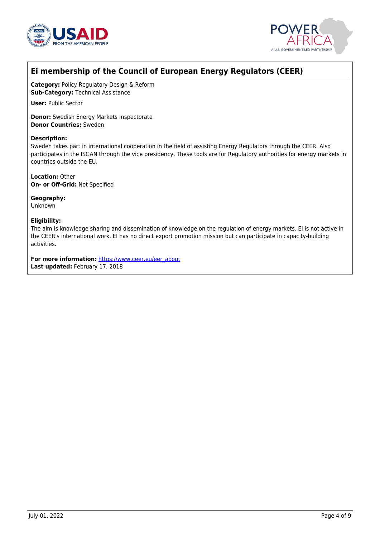



# **Ei membership of the Council of European Energy Regulators (CEER)**

**Category:** Policy Regulatory Design & Reform **Sub-Category:** Technical Assistance

**User:** Public Sector

**Donor:** Swedish Energy Markets Inspectorate **Donor Countries:** Sweden

### **Description:**

Sweden takes part in international cooperation in the field of assisting Energy Regulators through the CEER. Also participates in the ISGAN through the vice presidency. These tools are for Regulatory authorities for energy markets in countries outside the EU.

**Location:** Other **On- or Off-Grid:** Not Specified

**Geography:** Unknown

### **Eligibility:**

The aim is knowledge sharing and dissemination of knowledge on the regulation of energy markets. EI is not active in the CEER's international work. EI has no direct export promotion mission but can participate in capacity-building activities.

For more information: [https://www.ceer.eu/eer\\_about](https://www.ceer.eu/eer_about) **Last updated:** February 17, 2018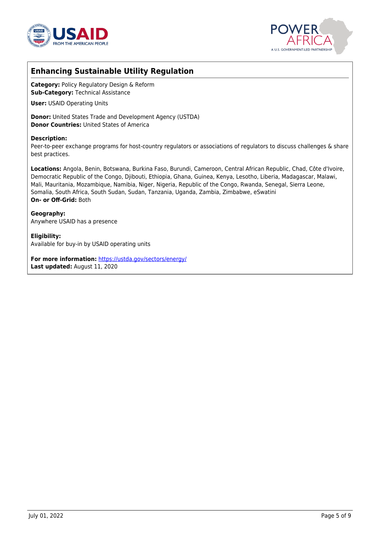



## **Enhancing Sustainable Utility Regulation**

**Category:** Policy Regulatory Design & Reform **Sub-Category:** Technical Assistance

**User:** USAID Operating Units

**Donor:** United States Trade and Development Agency (USTDA) **Donor Countries:** United States of America

#### **Description:**

Peer-to-peer exchange programs for host-country regulators or associations of regulators to discuss challenges & share best practices.

**Locations:** Angola, Benin, Botswana, Burkina Faso, Burundi, Cameroon, Central African Republic, Chad, Côte d'Ivoire, Democratic Republic of the Congo, Djibouti, Ethiopia, Ghana, Guinea, Kenya, Lesotho, Liberia, Madagascar, Malawi, Mali, Mauritania, Mozambique, Namibia, Niger, Nigeria, Republic of the Congo, Rwanda, Senegal, Sierra Leone, Somalia, South Africa, South Sudan, Sudan, Tanzania, Uganda, Zambia, Zimbabwe, eSwatini **On- or Off-Grid:** Both

**Geography:** Anywhere USAID has a presence

**Eligibility:** Available for buy-in by USAID operating units

**For more information:** <https://ustda.gov/sectors/energy/> **Last updated:** August 11, 2020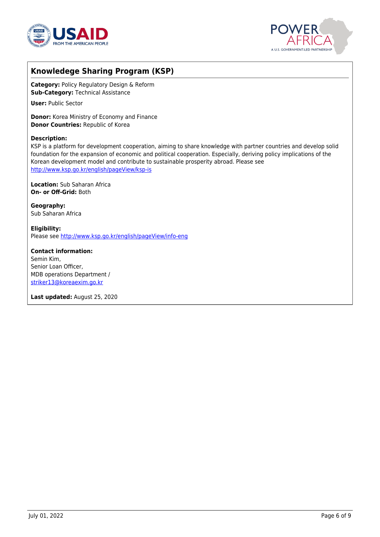



## **Knowledege Sharing Program (KSP)**

**Category:** Policy Regulatory Design & Reform **Sub-Category:** Technical Assistance

**User:** Public Sector

**Donor:** Korea Ministry of Economy and Finance **Donor Countries:** Republic of Korea

### **Description:**

KSP is a platform for development cooperation, aiming to share knowledge with partner countries and develop solid foundation for the expansion of economic and political cooperation. Especially, deriving policy implications of the Korean development model and contribute to sustainable prosperity abroad. Please see <http://www.ksp.go.kr/english/pageView/ksp-is>

**Location:** Sub Saharan Africa **On- or Off-Grid:** Both

**Geography:** Sub Saharan Africa

**Eligibility:** Please see<http://www.ksp.go.kr/english/pageView/info-eng>

**Contact information:** Semin Kim, Senior Loan Officer, MDB operations Department / [striker13@koreaexim.go.kr](mailto:striker13@koreaexim.go.kr)

**Last updated:** August 25, 2020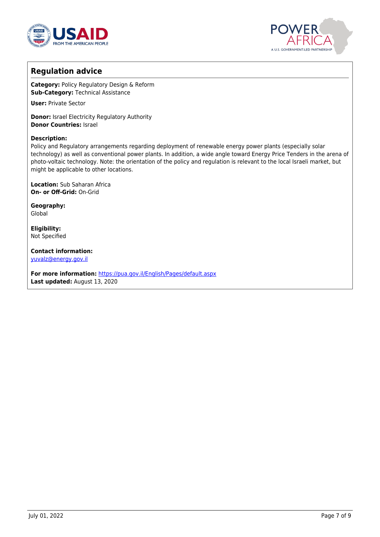



## **Regulation advice**

**Category:** Policy Regulatory Design & Reform **Sub-Category:** Technical Assistance

**User:** Private Sector

**Donor:** Israel Electricity Regulatory Authority **Donor Countries:** Israel

### **Description:**

Policy and Regulatory arrangements regarding deployment of renewable energy power plants (especially solar technology) as well as conventional power plants. In addition, a wide angle toward Energy Price Tenders in the arena of photo-voltaic technology. Note: the orientation of the policy and regulation is relevant to the local Israeli market, but might be applicable to other locations.

**Location:** Sub Saharan Africa **On- or Off-Grid:** On-Grid

**Geography:** Global

**Eligibility:** Not Specified

**Contact information:** [yuvalz@energy.gov.il](mailto:yuvalz@energy.gov.il)

**For more information:** <https://pua.gov.il/English/Pages/default.aspx> **Last updated:** August 13, 2020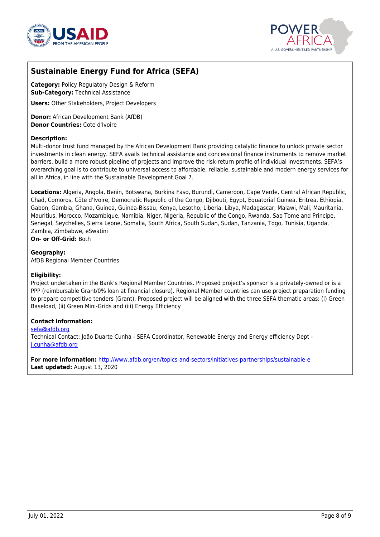



# **Sustainable Energy Fund for Africa (SEFA)**

**Category:** Policy Regulatory Design & Reform **Sub-Category:** Technical Assistance

**Users:** Other Stakeholders, Project Developers

**Donor:** African Development Bank (AfDB) **Donor Countries:** Cote d'Ivoire

#### **Description:**

Multi-donor trust fund managed by the African Development Bank providing catalytic finance to unlock private sector investments in clean energy. SEFA avails technical assistance and concessional finance instruments to remove market barriers, build a more robust pipeline of projects and improve the risk-return profile of individual investments. SEFA's overarching goal is to contribute to universal access to affordable, reliable, sustainable and modern energy services for all in Africa, in line with the Sustainable Development Goal 7.

**Locations:** Algeria, Angola, Benin, Botswana, Burkina Faso, Burundi, Cameroon, Cape Verde, Central African Republic, Chad, Comoros, Côte d'Ivoire, Democratic Republic of the Congo, Djibouti, Egypt, Equatorial Guinea, Eritrea, Ethiopia, Gabon, Gambia, Ghana, Guinea, Guinea-Bissau, Kenya, Lesotho, Liberia, Libya, Madagascar, Malawi, Mali, Mauritania, Mauritius, Morocco, Mozambique, Namibia, Niger, Nigeria, Republic of the Congo, Rwanda, Sao Tome and Principe, Senegal, Seychelles, Sierra Leone, Somalia, South Africa, South Sudan, Sudan, Tanzania, Togo, Tunisia, Uganda, Zambia, Zimbabwe, eSwatini

**On- or Off-Grid:** Both

**Geography:** AfDB Regional Member Countries

### **Eligibility:**

Project undertaken in the Bank's Regional Member Countries. Proposed project's sponsor is a privately-owned or is a PPP (reimbursable Grant/0% loan at financial closure). Regional Member countries can use project preparation funding to prepare competitive tenders (Grant). Proposed project will be aligned with the three SEFA thematic areas: (i) Green Baseload, (ii) Green Mini-Grids and (iii) Energy Efficiency

#### **Contact information:**

[sefa@afdb.org](mailto:sefa@afdb.org)

Technical Contact: João Duarte Cunha - SEFA Coordinator, Renewable Energy and Energy efficiency Dept [j.cunha@afdb.org](mailto:j.cunha@afdb.org)

**For more information:** [http://www.afdb.org/en/topics-and-sectors/initiatives-partnerships/sustainable-e](http://www.afdb.org/en/topics-and-sectors/initiatives-partnerships/sustainable-energy-fund-for-africa/) **Last updated:** August 13, 2020